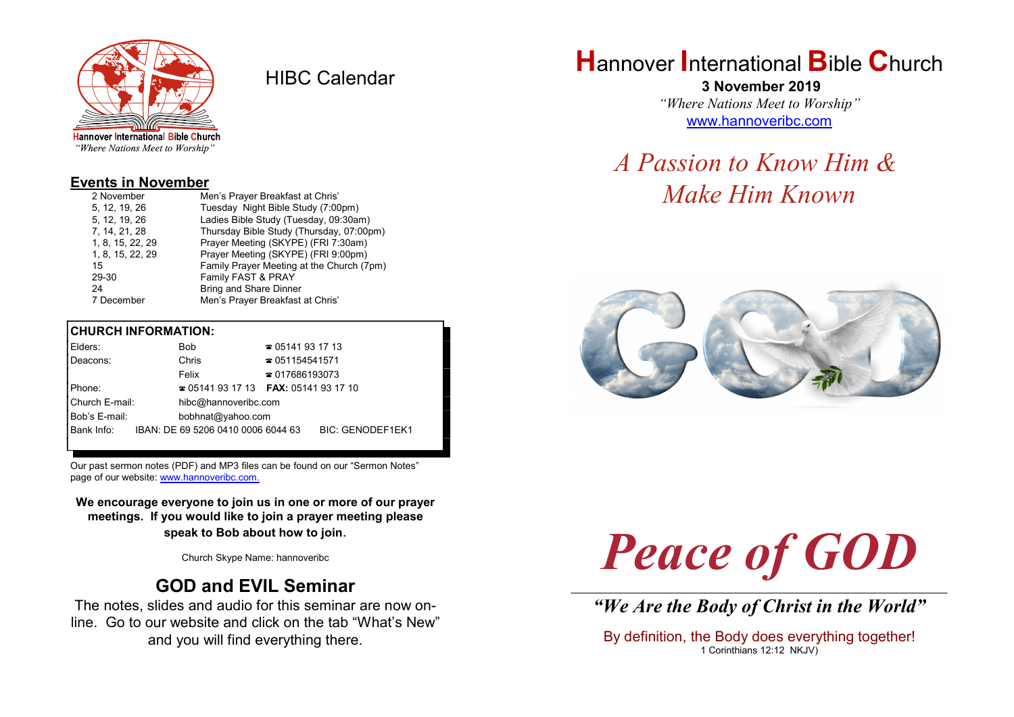

HIBC Calendar

"Where Nations Meet to Worship"

### Events in November

| 2 November       | Men's Prayer Breakfast at Chris'          |
|------------------|-------------------------------------------|
| 5, 12, 19, 26    | Tuesday Night Bible Study (7:00pm)        |
| 5, 12, 19, 26    | Ladies Bible Study (Tuesday, 09:30am)     |
| 7, 14, 21, 28    | Thursday Bible Study (Thursday, 07:00pm)  |
| 1, 8, 15, 22, 29 | Prayer Meeting (SKYPE) (FRI 7:30am)       |
| 1, 8, 15, 22, 29 | Prayer Meeting (SKYPE) (FRI 9:00pm)       |
| 15               | Family Prayer Meeting at the Church (7pm) |
| 29-30            | Family FAST & PRAY                        |
| 24               | <b>Bring and Share Dinner</b>             |
| 7 December       | Men's Prayer Breakfast at Chris'          |

### CHURCH INFORMATION:

| Elders:        | Bob                                           | ☎ 05141 93 17 13       |                  |
|----------------|-----------------------------------------------|------------------------|------------------|
| Deacons:       | Chris                                         | $\approx 051154541571$ |                  |
|                | Felix                                         | $\approx 017686193073$ |                  |
| Phone:         | <b>205141931713 FAX: 05141931710</b>          |                        |                  |
| Church E-mail: | hibc@hannoveribc.com                          |                        |                  |
| Bob's E-mail:  | bobhnat@yahoo.com                             |                        |                  |
|                | Bank Info: IBAN: DE 69 5206 0410 0006 6044 63 |                        | BIC: GENODEF1EK1 |
|                |                                               |                        |                  |

Our past sermon notes (PDF) and MP3 files can be found on our "Sermon Notes" page of our website: www.hannoveribc.com.

We encourage everyone to join us in one or more of our prayer meetings. If you would like to join a prayer meeting please speak to Bob about how to join.

Church Skype Name: hannoveribc

# GOD and EVIL Seminar

The notes, slides and audio for this seminar are now online. Go to our website and click on the tab "What's New" and you will find everything there.

# **Hannover International Bible Church**

 3 November 2019 "Where Nations Meet to Worship" www.hannoveribc.com

# A Passion to Know Him & Make Him Known



# Peace of GOD \_\_\_\_\_\_\_\_\_\_\_\_\_\_\_\_\_\_\_\_\_\_\_\_\_\_\_\_\_\_\_\_\_\_\_\_\_\_\_\_\_\_\_\_\_\_\_\_\_\_\_\_\_\_\_\_\_\_\_\_\_\_

"We Are the Body of Christ in the World"

By definition, the Body does everything together! 1 Corinthians 12:12 NKJV)